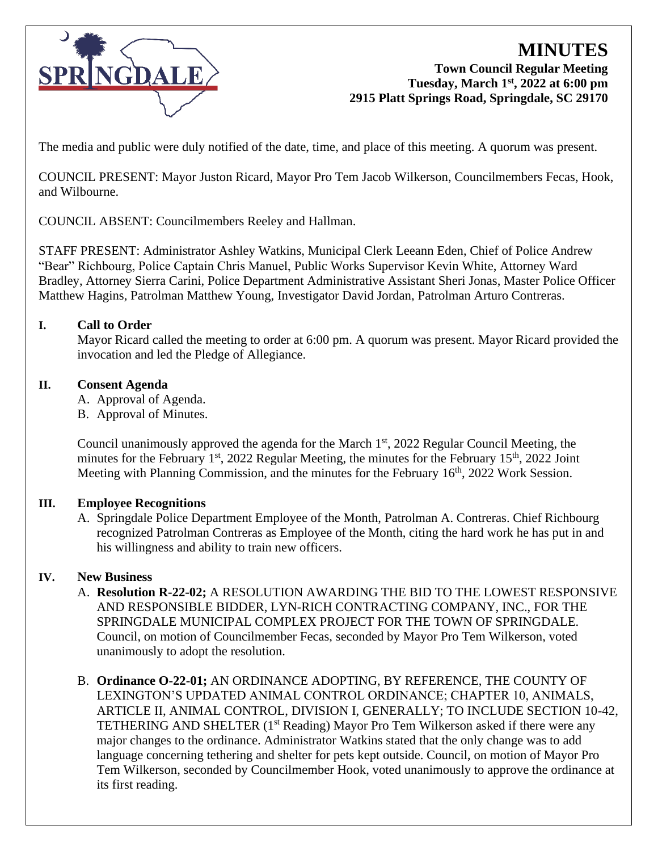

## **MINUTES Town Council Regular Meeting Tuesday, March 1st, 2022 at 6:00 pm 2915 Platt Springs Road, Springdale, SC 29170**

The media and public were duly notified of the date, time, and place of this meeting. A quorum was present.

COUNCIL PRESENT: Mayor Juston Ricard, Mayor Pro Tem Jacob Wilkerson, Councilmembers Fecas, Hook, and Wilbourne.

COUNCIL ABSENT: Councilmembers Reeley and Hallman.

STAFF PRESENT: Administrator Ashley Watkins, Municipal Clerk Leeann Eden, Chief of Police Andrew "Bear" Richbourg, Police Captain Chris Manuel, Public Works Supervisor Kevin White, Attorney Ward Bradley, Attorney Sierra Carini, Police Department Administrative Assistant Sheri Jonas, Master Police Officer Matthew Hagins, Patrolman Matthew Young, Investigator David Jordan, Patrolman Arturo Contreras.

# **I. Call to Order**

Mayor Ricard called the meeting to order at 6:00 pm. A quorum was present. Mayor Ricard provided the invocation and led the Pledge of Allegiance.

# **II. Consent Agenda**

- A. Approval of Agenda.
- B. Approval of Minutes.

Council unanimously approved the agenda for the March 1<sup>st</sup>, 2022 Regular Council Meeting, the minutes for the February 1<sup>st</sup>, 2022 Regular Meeting, the minutes for the February 15<sup>th</sup>, 2022 Joint Meeting with Planning Commission, and the minutes for the February 16<sup>th</sup>, 2022 Work Session.

## **III. Employee Recognitions**

A. Springdale Police Department Employee of the Month, Patrolman A. Contreras. Chief Richbourg recognized Patrolman Contreras as Employee of the Month, citing the hard work he has put in and his willingness and ability to train new officers.

# **IV. New Business**

- A. **Resolution R-22-02;** A RESOLUTION AWARDING THE BID TO THE LOWEST RESPONSIVE AND RESPONSIBLE BIDDER, LYN-RICH CONTRACTING COMPANY, INC., FOR THE SPRINGDALE MUNICIPAL COMPLEX PROJECT FOR THE TOWN OF SPRINGDALE. Council, on motion of Councilmember Fecas, seconded by Mayor Pro Tem Wilkerson, voted unanimously to adopt the resolution.
- B. **Ordinance O-22-01;** AN ORDINANCE ADOPTING, BY REFERENCE, THE COUNTY OF LEXINGTON'S UPDATED ANIMAL CONTROL ORDINANCE; CHAPTER 10, ANIMALS, ARTICLE II, ANIMAL CONTROL, DIVISION I, GENERALLY; TO INCLUDE SECTION 10-42, TETHERING AND SHELTER (1<sup>st</sup> Reading) Mayor Pro Tem Wilkerson asked if there were any major changes to the ordinance. Administrator Watkins stated that the only change was to add language concerning tethering and shelter for pets kept outside. Council, on motion of Mayor Pro Tem Wilkerson, seconded by Councilmember Hook, voted unanimously to approve the ordinance at its first reading.